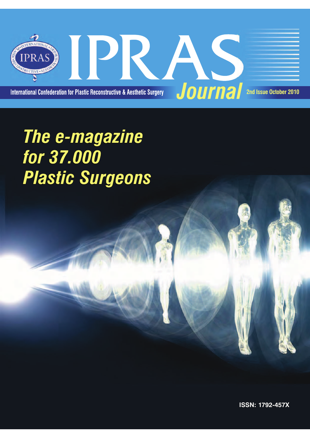

## The e-magazine for 37.000 **Plastic Surgeons**